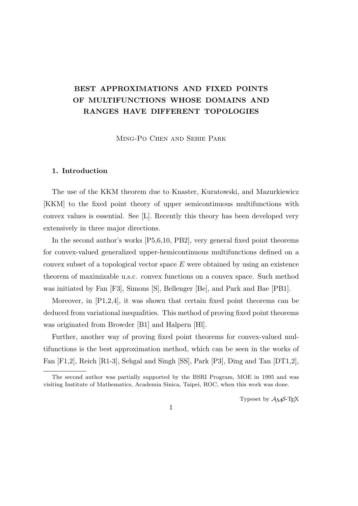# **BEST APPROXIMATIONS AND FIXED POINTS OF MULTIFUNCTIONS WHOSE DOMAINS AND RANGES HAVE DIFFERENT TOPOLOGIES**

Ming-Po Chen and Sehie Park

#### **1. Introduction**

The use of the KKM theorem due to Knaster, Kuratowski, and Mazurkiewicz [KKM] to the fixed point theory of upper semicontinuous multifunctions with convex values is essential. See [L]. Recently this theory has been developed very extensively in three major directions.

In the second author's works [P5,6,10, PB2], very general fixed point theorems for convex-valued generalized upper-hemicontinuous multifunctions defined on a convex subset of a topological vector space *E* were obtained by using an existence theorem of maximizable u.s.c. convex functions on a convex space. Such method was initiated by Fan [F3], Simons [S], Bellenger [Be], and Park and Bae [PB1].

Moreover, in [P1,2,4], it was shown that certain fixed point theorems can be deduced from variational inequalities. This method of proving fixed point theorems was originated from Browder [B1] and Halpern [Hl].

Further, another way of proving fixed point theorems for convex-valued multifunctions is the best approximation method, which can be seen in the works of Fan [F1,2], Reich [R1-3], Sehgal and Singh [SS], Park [P3], Ding and Tan [DT1,2],

Typeset by  $\mathcal{A}_{\mathcal{M}}\mathcal{S}\text{-}\mathrm{Tr}X$ 

The second author was partially supported by the BSRI Program, MOE in 1995 and was visiting Institute of Mathematics, Academia Sinica, Taipei, ROC, when this work was done.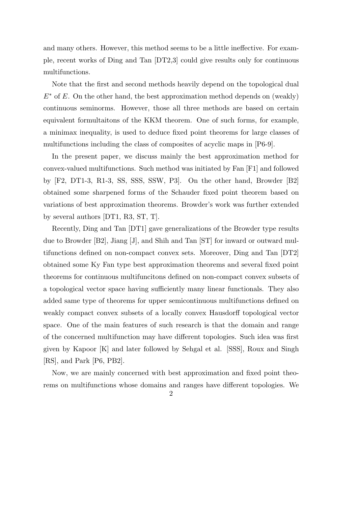and many others. However, this method seems to be a little ineffective. For example, recent works of Ding and Tan [DT2,3] could give results only for continuous multifunctions.

Note that the first and second methods heavily depend on the topological dual *E*<sup>∗</sup> of *E*. On the other hand, the best approximation method depends on (weakly) continuous seminorms. However, those all three methods are based on certain equivalent formultaitons of the KKM theorem. One of such forms, for example, a minimax inequality, is used to deduce fixed point theorems for large classes of multifunctions including the class of composites of acyclic maps in [P6-9].

In the present paper, we discuss mainly the best approximation method for convex-valued multifunctions. Such method was initiated by Fan [F1] and followed by [F2, DT1-3, R1-3, SS, SSS, SSW, P3]. On the other hand, Browder [B2] obtained some sharpened forms of the Schauder fixed point theorem based on variations of best approximation theorems. Browder's work was further extended by several authors [DT1, R3, ST, T].

Recently, Ding and Tan [DT1] gave generalizations of the Browder type results due to Browder [B2], Jiang [J], and Shih and Tan [ST] for inward or outward multifunctions defined on non-compact convex sets. Moreover, Ding and Tan [DT2] obtained some Ky Fan type best approximation theorems and several fixed point theorems for continuous multifuncitons defined on non-compact convex subsets of a topological vector space having sufficiently many linear functionals. They also added same type of theorems for upper semicontinuous multifunctions defined on weakly compact convex subsets of a locally convex Hausdorff topological vector space. One of the main features of such research is that the domain and range of the concerned multifunction may have different topologies. Such idea was first given by Kapoor [K] and later followed by Sehgal et al. [SSS], Roux and Singh [RS], and Park [P6, PB2].

Now, we are mainly concerned with best approximation and fixed point theorems on multifunctions whose domains and ranges have different topologies. We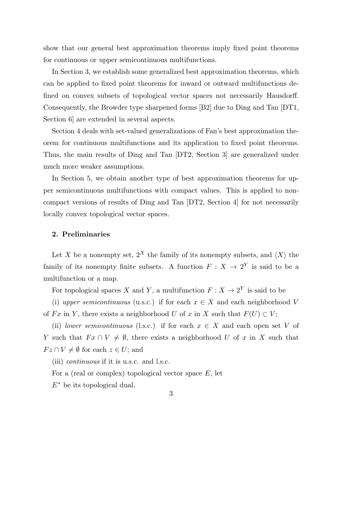show that our general best approximation theorems imply fixed point theorems for continuous or upper semicontinuous multifunctions.

In Section 3, we establish some generalized best approximation theorems, which can be applied to fixed point theorems for inward or outward multifunctions defined on convex subsets of topological vector spaces not necessarily Hausdorff. Consequently, the Browder type sharpened forms [B2] due to Ding and Tan [DT1, Section 6 are extended in several aspects.

Section 4 deals with set-valued generalizations of Fan's best approximation theorem for continuous multifunctions and its application to fixed point theorems. Thus, the main results of Ding and Tan [DT2, Section 3] are generalized under much more weaker assumptions.

In Section 5, we obtain another type of best approximation theorems for upper semicontinuous multifunctions with compact values. This is applied to noncompact versions of results of Ding and Tan [DT2, Section 4] for not necessarily locally convex topological vector spaces.

### **2. Preliminaries**

Let *X* be a nonempty set,  $2^X$  the family of its nonempty subsets, and  $\langle X \rangle$  the family of its nonempty finite subsets. A function  $F: X \to 2^Y$  is said to be a multifunction or a map.

For topological spaces *X* and *Y*, a multifunction  $F: X \to 2^Y$  is said to be

(i) *upper semicontinuous* (u.s.c.) if for each  $x \in X$  and each neighborhood *V* of *Fx* in *Y*, there exists a neighborhood *U* of *x* in *X* such that  $F(U) \subset V$ ;

(ii) *lower semicontinuous* (l.s.c.) if for each  $x \in X$  and each open set V of *Y* such that  $Fx \cap V \neq \emptyset$ , there exists a neighborhood *U* of *x* in *X* such that  $Fz \cap V \neq \emptyset$  for each  $z \in U$ ; and

(iii) *continuous* if it is u.s.c. and l.s.c.

For a (real or complex) topological vector space *E*, let

*E<sup>∗</sup>* be its topological dual,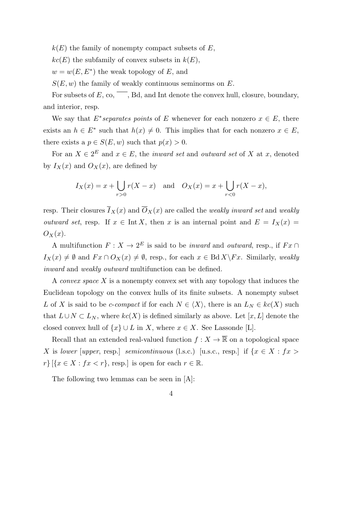$k(E)$  the family of nonempty compact subsets of  $E$ ,

 $kc(E)$  the subfamily of convex subsets in  $k(E)$ ,

 $w = w(E, E^*)$  the weak topology of *E*, and

*S*(*E, w*) the family of weakly continuous seminorms on *E*.

For subsets of  $E$ , co,  $\overline{\phantom{a}}$ , Bd, and Int denote the convex hull, closure, boundary, and interior, resp.

We say that  $E^*$ *separates points* of  $E$  whenever for each nonzero  $x \in E$ , there exists an  $h \in E^*$  such that  $h(x) \neq 0$ . This implies that for each nonzero  $x \in E$ , there exists a  $p \in S(E, w)$  such that  $p(x) > 0$ .

For an  $X \in 2^E$  and  $x \in E$ , the *inward set* and *outward set* of X at x, denoted by  $I_X(x)$  and  $O_X(x)$ , are defined by

$$
I_X(x) = x + \bigcup_{r>0} r(X - x)
$$
 and  $O_X(x) = x + \bigcup_{r<0} r(X - x)$ ,

resp. Their closures  $\overline{I}_X(x)$  and  $\overline{O}_X(x)$  are called the *weakly inward set* and *weakly outward set*, resp. If  $x \in \text{Int } X$ , then *x* is an internal point and  $E = I_X(x)$  $O_X(x)$ .

A multifunction  $F: X \to 2^E$  is said to be *inward* and *outward*, resp., if  $Fx \cap$ *I*<sub>*X*</sub>(*x*)  $\neq$  *Ø* and *F x* ∩ *O*<sub>*X*</sub>(*x*)  $\neq$  *Ø*, resp., for each *x* ∈ Bd *X* \*F x*. Similarly, *weakly inward* and *weakly outward* multifunction can be defined.

A *convex space X* is a nonempty convex set with any topology that induces the Euclidean topology on the convex hulls of its finite subsets. A nonempty subset *L* of *X* is said to be *c*-*compact* if for each  $N \in \langle X \rangle$ , there is an  $L_N \in kc(X)$  such that  $L ∪ N ⊂ L<sub>N</sub>$ , where  $kc(X)$  is defined similarly as above. Let [x, L] denote the closed convex hull of  $\{x\} \cup L$  in *X*, where  $x \in X$ . See Lassonde [L].

Recall that an extended real-valued function  $f: X \to \overline{\mathbb{R}}$  on a topological space *X* is *lower* [*upper*, resp.] *semicontinuous* (l.s.c.) [u.s.c., resp.] if  $\{x \in X : fx >$  $r$ <sup>}</sup> [{ $x \in X : fx < r$ }, resp.] is open for each  $r \in \mathbb{R}$ .

The following two lemmas can be seen in [A]:

$$
4\phantom{.0}
$$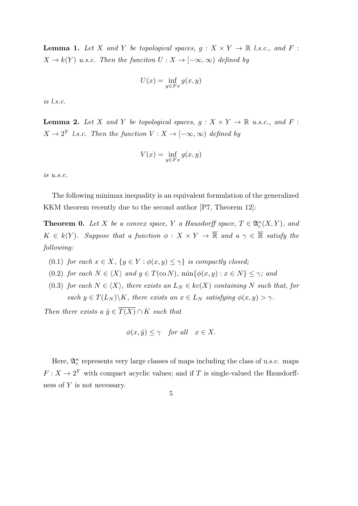**Lemma 1.** Let *X* and *Y* be topological spaces,  $g: X \times Y \to \mathbb{R}$  l.s.c., and *F* :  $X \to k(Y)$  *u.s.c.* Then the funciton  $U : X \to [-\infty, \infty)$  defined by

$$
U(x) = \inf_{y \in Fx} g(x, y)
$$

*is l.s.c.*

**Lemma 2.** Let *X* and *Y* be topological spaces,  $g: X \times Y \to \mathbb{R}$  u.s.c., and *F*:  $X \to 2^Y$  *l.s.c.* Then the function  $V : X \to [-\infty, \infty)$  defined by

$$
V(x) = \inf_{y \in Fx} g(x, y)
$$

*is u.s.c.*

The following minimax inequality is an equivalent formulation of the generalized KKM theorem recently due to the second author [P7, Theorem 12]:

**Theorem 0.** Let *X* be a convex space, *Y* a Hausdorff space,  $T \in \mathfrak{A}_{c}^{\kappa}(X, Y)$ , and  $K \in k(Y)$ *. Suppose that a function*  $\phi: X \times Y \to \overline{\mathbb{R}}$  and  $a \gamma \in \overline{\mathbb{R}}$  satisfy the *following:*

- (0.1) *for each*  $x \in X$ ,  $\{y \in Y : \phi(x, y) \leq \gamma\}$  *is compactly closed;*
- (0.2) *for each*  $N \in \langle X \rangle$  *and*  $y \in T(\text{co } N)$ *,*  $\min\{\phi(x, y) : x \in N\} \leq \gamma$ *; and*
- (0.3) *for each*  $N \in \langle X \rangle$ *, there exists an*  $L_N \in kc(X)$  *containing*  $N$  *such that, for each*  $y \in T(L_N) \backslash K$ *, there exists an*  $x \in L_N$  *satisfying*  $\phi(x, y) > \gamma$ *.*

*Then there exists a*  $\hat{y} \in \overline{T(X)} \cap K$  *such that* 

$$
\phi(x,\hat{y}) \le \gamma \quad \text{for all} \quad x \in X.
$$

Here,  $\mathfrak{A}_c^{\kappa}$  represents very large classes of maps including the class of u.s.c. maps  $F: X \to 2^Y$  with compact acyclic values; and if *T* is single-valued the Hausdorffness of *Y* is not necessary.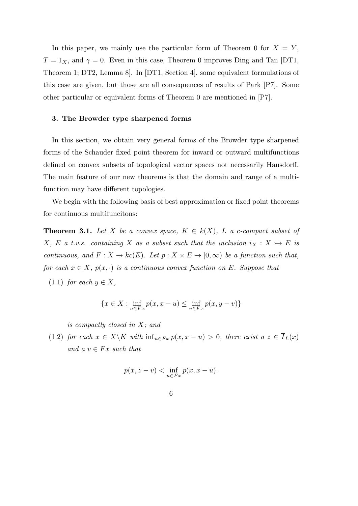In this paper, we mainly use the particular form of Theorem 0 for  $X = Y$ ,  $T = 1_X$ , and  $\gamma = 0$ . Even in this case, Theorem 0 improves Ding and Tan [DT1, Theorem 1; DT2, Lemma 8]. In [DT1, Section 4], some equivalent formulations of this case are given, but those are all consequences of results of Park [P7]. Some other particular or equivalent forms of Theorem 0 are mentioned in [P7].

#### **3. The Browder type sharpened forms**

In this section, we obtain very general forms of the Browder type sharpened forms of the Schauder fixed point theorem for inward or outward multifunctions defined on convex subsets of topological vector spaces not necessarily Hausdorff. The main feature of our new theorems is that the domain and range of a multifunction may have different topologies.

We begin with the following basis of best approximation or fixed point theorems for continuous multifuncitons:

**Theorem 3.1.** Let *X* be a convex space,  $K \in k(X)$ , *L* a *c*-compact subset of *X*, *E a t.v.s.* containing *X* as a subset such that the inclusion  $i_X : X \hookrightarrow E$  is *continuous, and*  $F: X \to kc(E)$ *. Let*  $p: X \times E \to [0, \infty)$  *be a function such that, for each*  $x \in X$ *,*  $p(x, \cdot)$  *is a continuous convex function on E. Suppose that* 

 $(1.1)$  *for each*  $y \in X$ ,

$$
\{x \in X : \inf_{u \in Fx} p(x, x - u) \le \inf_{v \in Fx} p(x, y - v)\}
$$

*is compactly closed in X; and*

(1.2) *for each*  $x \in X \backslash K$  *with*  $\inf_{u \in F} x p(x, x - u) > 0$ *, there exist a*  $z \in \overline{I}_L(x)$  $and \ a \ v \in Fx \ such \ that$ 

$$
p(x, z - v) < \inf_{u \in Fx} p(x, x - u).
$$

6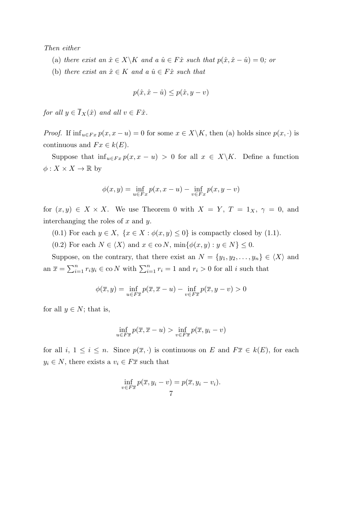#### *Then either*

- (a) *there exist an*  $\hat{x} \in X \backslash K$  *and a*  $\hat{u} \in F\hat{x}$  *such that*  $p(\hat{x}, \hat{x} \hat{u}) = 0$ *; or*
- (b) *there exist an*  $\hat{x} \in K$  *and a*  $\hat{u} \in F\hat{x}$  *such that*

$$
p(\hat{x}, \hat{x} - \hat{u}) \le p(\hat{x}, y - v)
$$

*for all*  $y \in \overline{I}_X(\hat{x})$  *and all*  $v \in F\hat{x}$ *.* 

*Proof.* If  $\inf_{u \in F} x p(x, x - u) = 0$  for some  $x \in X \backslash K$ , then (a) holds since  $p(x, \cdot)$  is continuous and  $Fx \in k(E)$ .

Suppose that  $\inf_{u \in F} x p(x, x - u) > 0$  for all  $x \in X \backslash K$ . Define a function  $\phi: X \times X \to \mathbb{R}$  by

$$
\phi(x, y) = \inf_{u \in F_x} p(x, x - u) - \inf_{v \in F_x} p(x, y - v)
$$

for  $(x, y) \in X \times X$ . We use Theorem 0 with  $X = Y$ ,  $T = 1_X$ ,  $\gamma = 0$ , and interchanging the roles of *x* and *y*.

- (0.1) For each  $y \in X$ ,  $\{x \in X : \phi(x, y) \leq 0\}$  is compactly closed by (1.1).
- (0.2) For each  $N \in \langle X \rangle$  and  $x \in \text{co } N$ ,  $\min\{\phi(x, y) : y \in N\} \leq 0$ .

Suppose, on the contrary, that there exist an  $N = \{y_1, y_2, \ldots, y_n\} \in \langle X \rangle$  and an  $\overline{x} = \sum_{i=1}^{n} r_i y_i \in \text{co } N$  with  $\sum_{i=1}^{n} r_i = 1$  and  $r_i > 0$  for all *i* such that

$$
\phi(\overline{x}, y) = \inf_{u \in F\overline{x}} p(\overline{x}, \overline{x} - u) - \inf_{v \in F\overline{x}} p(\overline{x}, y - v) > 0
$$

for all  $y \in N$ ; that is,

$$
\inf_{u \in F\overline{x}} p(\overline{x}, \overline{x} - u) > \inf_{v \in F\overline{x}} p(\overline{x}, y_i - v)
$$

for all  $i, 1 \leq i \leq n$ . Since  $p(\overline{x}, \cdot)$  is continuous on *E* and  $F\overline{x} \in k(E)$ , for each  $y_i \in N$ , there exists a  $v_i \in F\overline{x}$  such that

$$
\inf_{v \in F\overline{x}} p(\overline{x}, y_i - v) = p(\overline{x}, y_i - v_i).
$$
7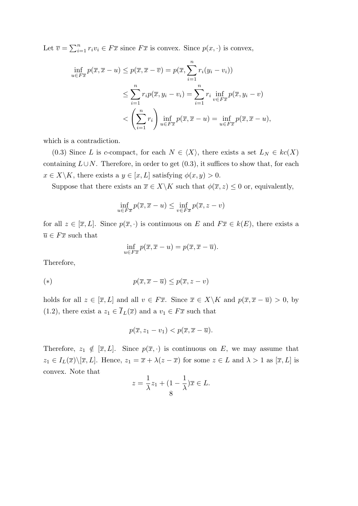Let  $\overline{v} = \sum_{i=1}^{n} r_i v_i \in F\overline{x}$  since  $F\overline{x}$  is convex. Since  $p(x, \cdot)$  is convex,

$$
\inf_{u \in F\overline{x}} p(\overline{x}, \overline{x} - u) \le p(\overline{x}, \overline{x} - \overline{v}) = p(\overline{x}, \sum_{i=1}^{n} r_i (y_i - v_i))
$$
\n
$$
\le \sum_{i=1}^{n} r_i p(\overline{x}, y_i - v_i) = \sum_{i=1}^{n} r_i \inf_{v \in F\overline{x}} p(\overline{x}, y_i - v)
$$
\n
$$
< \left(\sum_{i=1}^{n} r_i\right) \inf_{u \in F\overline{x}} p(\overline{x}, \overline{x} - u) = \inf_{u \in F\overline{x}} p(\overline{x}, \overline{x} - u),
$$

which is a contradiction.

(0.3) Since *L* is *c*-compact, for each  $N \in \langle X \rangle$ , there exists a set  $L_N \in kc(X)$ containing  $L \cup N$ . Therefore, in order to get  $(0.3)$ , it suffices to show that, for each  $x \in X \backslash K$ , there exists a  $y \in [x, L]$  satisfying  $\phi(x, y) > 0$ .

Suppose that there exists an  $\overline{x} \in X \backslash K$  such that  $\phi(\overline{x}, z) \leq 0$  or, equivalently,

$$
\inf_{u \in F\overline{x}} p(\overline{x}, \overline{x} - u) \le \inf_{v \in F\overline{x}} p(\overline{x}, z - v)
$$

for all  $z \in [\overline{x}, L]$ . Since  $p(\overline{x}, \cdot)$  is continuous on *E* and  $F\overline{x} \in k(E)$ , there exists a  $\overline{u} \in F\overline{x}$  such that

$$
\inf_{u \in F\overline{x}} p(\overline{x}, \overline{x} - u) = p(\overline{x}, \overline{x} - \overline{u}).
$$

Therefore,

$$
(*)\qquad \qquad p(\overline{x}, \overline{x} - \overline{u}) \le p(\overline{x}, z - v)
$$

holds for all  $z \in [\overline{x}, L]$  and all  $v \in F\overline{x}$ . Since  $\overline{x} \in X \backslash K$  and  $p(\overline{x}, \overline{x} - \overline{u}) > 0$ , by (1.2), there exist a  $z_1 \in \overline{I}_L(\overline{x})$  and a  $v_1 \in F\overline{x}$  such that

$$
p(\overline{x}, z_1 - v_1) < p(\overline{x}, \overline{x} - \overline{u}).
$$

Therefore,  $z_1 \notin [\overline{x}, L]$ . Since  $p(\overline{x}, \cdot)$  is continuous on *E*, we may assume that  $z_1 \in I_L(\overline{x}) \setminus [\overline{x}, L]$ . Hence,  $z_1 = \overline{x} + \lambda(z - \overline{x})$  for some  $z \in L$  and  $\lambda > 1$  as  $[\overline{x}, L]$  is convex. Note that

$$
z = \frac{1}{\lambda}z_1 + (1 - \frac{1}{\lambda})\overline{x} \in L.
$$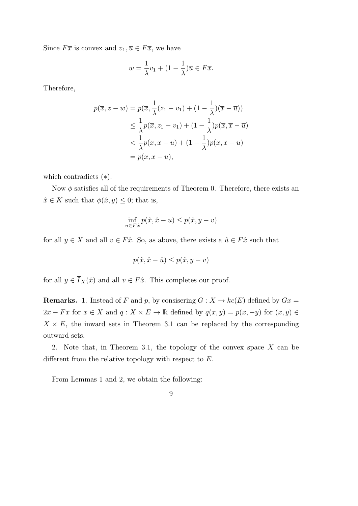Since  $F\overline{x}$  is convex and  $v_1, \overline{u} \in F\overline{x}$ , we have

$$
w = \frac{1}{\lambda}v_1 + (1 - \frac{1}{\lambda})\overline{u} \in F\overline{x}.
$$

Therefore,

$$
p(\overline{x}, z - w) = p(\overline{x}, \frac{1}{\lambda}(z_1 - v_1) + (1 - \frac{1}{\lambda})(\overline{x} - \overline{u}))
$$
  
\n
$$
\leq \frac{1}{\lambda}p(\overline{x}, z_1 - v_1) + (1 - \frac{1}{\lambda})p(\overline{x}, \overline{x} - \overline{u})
$$
  
\n
$$
< \frac{1}{\lambda}p(\overline{x}, \overline{x} - \overline{u}) + (1 - \frac{1}{\lambda})p(\overline{x}, \overline{x} - \overline{u})
$$
  
\n
$$
= p(\overline{x}, \overline{x} - \overline{u}),
$$

which contradicts (*∗*).

Now *ϕ* satisfies all of the requirements of Theorem 0. Therefore, there exists an  $\hat{x} \in K$  such that  $\phi(\hat{x}, y) \leq 0$ ; that is,

$$
\inf_{u \in F\hat{x}} p(\hat{x}, \hat{x} - u) \le p(\hat{x}, y - v)
$$

for all  $y \in X$  and all  $v \in F\hat{x}$ . So, as above, there exists a  $\hat{u} \in F\hat{x}$  such that

$$
p(\hat{x}, \hat{x} - \hat{u}) \le p(\hat{x}, y - v)
$$

for all  $y \in \overline{I}_X(\hat{x})$  and all  $v \in F\hat{x}$ . This completes our proof.

**Remarks.** 1. Instead of *F* and *p*, by consisering  $G: X \to kc(E)$  defined by  $Gx =$ 2*x* − *Fx* for  $x \in X$  and  $q: X \times E \to \mathbb{R}$  defined by  $q(x, y) = p(x, -y)$  for  $(x, y) \in \mathbb{R}$  $X \times E$ , the inward sets in Theorem 3.1 can be replaced by the corresponding outward sets.

2. Note that, in Theorem 3.1, the topology of the convex space *X* can be different from the relative topology with respect to *E*.

From Lemmas 1 and 2, we obtain the following: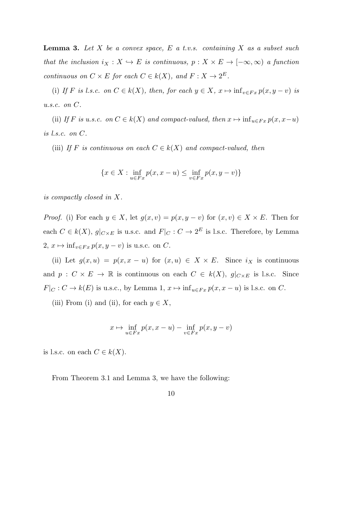**Lemma 3.** *Let X be a convex space, E a t.v.s. containing X as a subset such that the inclusion*  $i_X : X \hookrightarrow E$  *is continuous,*  $p : X \times E \rightarrow [-\infty, \infty)$  *a function continuous on*  $C \times E$  *for each*  $C \in k(X)$ *, and*  $F: X \to 2^E$ *.* 

(i) If F is l.s.c. on  $C \in k(X)$ , then, for each  $y \in X$ ,  $x \mapsto \inf_{v \in F_x} p(x, y - v)$  is *u.s.c. on C.*

(ii) If *F* is u.s.c. on  $C \in k(X)$  and compact-valued, then  $x \mapsto \inf_{u \in F_x} p(x, x-u)$ *is l.s.c. on C.*

(iii) *If F* is continuous on each  $C \in k(X)$  and compact-valued, then

$$
\{x \in X : \inf_{u \in Fx} p(x, x - u) \le \inf_{v \in Fx} p(x, y - v)\}
$$

*is compactly closed in X.*

*Proof.* (i) For each  $y \in X$ , let  $g(x, v) = p(x, y - v)$  for  $(x, v) \in X \times E$ . Then for each  $C \in k(X)$ ,  $g|_{C \times E}$  is u.s.c. and  $F|_{C} : C \to 2^{E}$  is l.s.c. Therefore, by Lemma 2,  $x \mapsto \inf_{v \in F_x} p(x, y - v)$  is u.s.c. on *C*.

(ii) Let  $g(x, u) = p(x, x - u)$  for  $(x, u) \in X \times E$ . Since  $i_X$  is continuous and  $p: C \times E \to \mathbb{R}$  is continuous on each  $C \in k(X)$ ,  $g|_{C \times E}$  is l.s.c. Since  $F|_C : C \to k(E)$  is u.s.c., by Lemma 1,  $x \mapsto \inf_{u \in Fx} p(x, x - u)$  is l.s.c. on *C*.

(iii) From (i) and (ii), for each  $y \in X$ ,

$$
x \mapsto \inf_{u \in Fx} p(x, x - u) - \inf_{v \in Fx} p(x, y - v)
$$

is l.s.c. on each  $C \in k(X)$ .

From Theorem 3.1 and Lemma 3, we have the following:

$$
10\quad
$$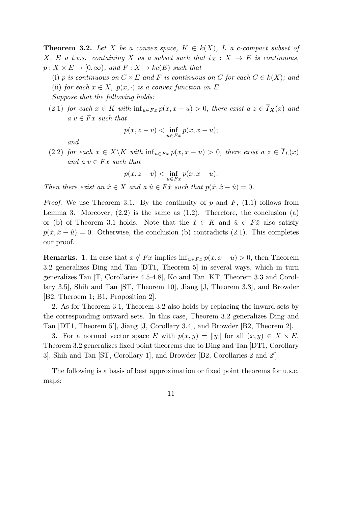**Theorem 3.2.** Let X be a convex space,  $K \in k(X)$ , L a *c*-compact subset of *X*, *E a t.v.s.* containing *X as a subset such that*  $i_X : X \hookrightarrow E$  *is continuous,*  $p: X \times E \to [0, \infty)$ *, and*  $F: X \to kc(E)$  *such that* 

(i) *p is continuous on*  $C \times E$  *and*  $F$  *is continuous on*  $C$  *for each*  $C \in k(X)$ *; and* (ii) *for each*  $x \in X$ ,  $p(x, \cdot)$  *is a convex function on E*. *Suppose that the following holds:*

(2.1) *for each*  $x \in K$  *with*  $\inf_{u \in F} x p(x, x - u) > 0$ *, there exist*  $a z \in \overline{I}_X(x)$  *and*  $a \ v \in Fx \ such \ that$ 

$$
p(x, z - v) < \inf_{u \in F_x} p(x, x - u);
$$

*and*

(2.2) *for each*  $x \in X \backslash K$  *with*  $\inf_{u \in F} x p(x, x - u) > 0$ , there exist  $a z \in \overline{I}_L(x)$  $and \ a \ v \in Fx \ such \ that$ 

$$
p(x, z - v) < \inf_{u \in F_x} p(x, x - u).
$$

*Then there exist an*  $\hat{x} \in X$  *and a*  $\hat{u} \in F\hat{x}$  *such that*  $p(\hat{x}, \hat{x} - \hat{u}) = 0$ *.* 

*Proof.* We use Theorem 3.1. By the continuity of *p* and *F*, (1.1) follows from Lemma 3. Moreover,  $(2.2)$  is the same as  $(1.2)$ . Therefore, the conclusion  $(a)$ or (b) of Theorem 3.1 holds. Note that the  $\hat{x} \in K$  and  $\hat{u} \in F\hat{x}$  also satisfy  $p(\hat{x}, \hat{x} - \hat{u}) = 0$ . Otherwise, the conclusion (b) contradicts (2.1). This completes our proof.

**Remarks.** 1. In case that  $x \notin Fx$  implies  $\inf_{u \in Fx} p(x, x - u) > 0$ , then Theorem 3.2 generalizes Ding and Tan [DT1, Theorem 5] in several ways, which in turn generalizes Tan [T, Corollaries 4.5-4.8], Ko and Tan [KT, Theorem 3.3 and Corollary 3.5], Shih and Tan [ST, Theorem 10], Jiang [J, Theorem 3.3], and Browder [B2, Theroem 1; B1, Proposition 2].

2. As for Theorem 3.1, Theorem 3.2 also holds by replacing the inward sets by the corresponding outward sets. In this case, Theorem 3.2 generalizes Ding and Tan [DT1, Theorem 5<sup>'</sup>], Jiang [J, Corollary 3.4], and Browder [B2, Theorem 2].

3. For a normed vector space *E* with  $p(x,y) = ||y||$  for all  $(x,y) \in X \times E$ , Theorem 3.2 generalizes fixed point theorems due to Ding and Tan [DT1, Corollary 3], Shih and Tan [ST, Corollary 1], and Browder [B2, Corollaries 2 and 2*′* ].

The following is a basis of best approximation or fixed point theorems for u.s.c. maps:

11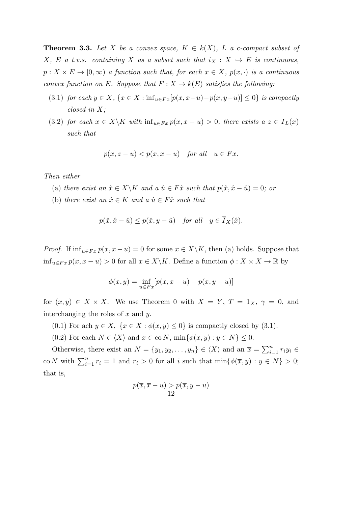**Theorem 3.3.** Let X be a convex space,  $K \in k(X)$ , L a *c*-compact subset of *X*, *E a t.v.s.* containing *X* as a subset such that  $i_X : X \hookrightarrow E$  is continuous,  $p: X \times E \to [0, \infty)$  *a function such that, for each*  $x \in X$ *,*  $p(x, \cdot)$  *is a continuous convex function on E.* Suppose that  $F: X \to k(E)$  *satisfies the following:* 

- (3.1) for each  $y \in X$ ,  $\{x \in X : \inf_{u \in F_x}[p(x, x-u)-p(x, y-u)] \leq 0\}$  is compactly *closed in X;*
- (3.2) for each  $x \in X \backslash K$  with  $\inf_{u \in F_x} p(x, x u) > 0$ , there exists  $a z \in \overline{I}_L(x)$ *such that*

$$
p(x, z - u) < p(x, x - u) \quad \text{for all} \quad u \in Fx.
$$

*Then either*

- (a) *there exist an*  $\hat{x} \in X \backslash K$  *and a*  $\hat{u} \in F\hat{x}$  *such that*  $p(\hat{x}, \hat{x} \hat{u}) = 0$ *; or*
- (b) *there exist an*  $\hat{x} \in K$  *and a*  $\hat{u} \in F\hat{x}$  *such that*

$$
p(\hat{x}, \hat{x} - \hat{u}) \le p(\hat{x}, y - \hat{u}) \quad \text{for all} \quad y \in \overline{I}_X(\hat{x}).
$$

*Proof.* If  $\inf_{u \in F} p(x, x - u) = 0$  for some  $x \in X \backslash K$ , then (a) holds. Suppose that inf<sub>*u*∈*Fx*</sub>  $p(x, x - u) > 0$  for all  $x \in X\backslash K$ . Define a function  $\phi : X \times X \to \mathbb{R}$  by

$$
\phi(x, y) = \inf_{u \in F_x} [p(x, x - u) - p(x, y - u)]
$$

for  $(x, y) \in X \times X$ . We use Theorem 0 with  $X = Y$ ,  $T = 1_X$ ,  $\gamma = 0$ , and interchanging the roles of *x* and *y*.

- (0.1) For ach  $y \in X$ ,  $\{x \in X : \phi(x, y) \leq 0\}$  is compactly closed by (3.1).
- (0.2) For each  $N \in \langle X \rangle$  and  $x \in \text{co } N$ ,  $\min\{\phi(x, y) : y \in N\} \leq 0$ .

Otherwise, there exist an  $N = \{y_1, y_2, \dots, y_n\} \in \langle X \rangle$  and an  $\overline{x} = \sum_{i=1}^n r_i y_i \in$ co *N* with  $\sum_{i=1}^{n} r_i = 1$  and  $r_i > 0$  for all *i* such that  $\min\{\phi(\overline{x}, y) : y \in N\} > 0$ ; that is,

$$
p(\overline{x}, \overline{x} - u) > p(\overline{x}, y - u)
$$
  
12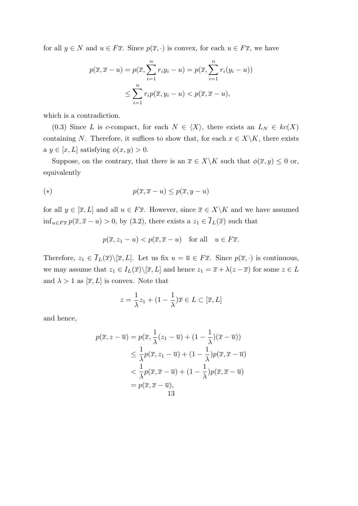for all  $y \in N$  and  $u \in F\overline{x}$ . Since  $p(\overline{x}, \cdot)$  is convex, for each  $u \in F\overline{x}$ , we have

$$
p(\overline{x}, \overline{x} - u) = p(\overline{x}, \sum_{i=1}^{n} r_i y_i - u) = p(\overline{x}, \sum_{i=1}^{n} r_i (y_i - u))
$$
  

$$
\leq \sum_{i=1}^{n} r_i p(\overline{x}, y_i - u) < p(\overline{x}, \overline{x} - u),
$$

which is a contradiction.

(0.3) Since *L* is *c*-compact, for each  $N \in \langle X \rangle$ , there exists an  $L_N \in kc(X)$ containing *N*. Therefore, it suffices to show that, for each  $x \in X \backslash K$ , there exists a  $y \in [x, L]$  satisfying  $\phi(x, y) > 0$ .

Suppose, on the contrary, that there is an  $\overline{x} \in X \backslash K$  such that  $\phi(\overline{x}, y) \leq 0$  or, equivalently

$$
(*)\qquad \qquad p(\overline{x}, \overline{x} - u) \le p(\overline{x}, y - u)
$$

for all  $y \in [\overline{x}, L]$  and all  $u \in F\overline{x}$ . However, since  $\overline{x} \in X \backslash K$  and we have assumed inf<sub>*u*∈*Fx*</sub> *p*( $\overline{x}, \overline{x}$  *− u*) > 0, by (3.2), there exists a  $z_1 \in \overline{I}_L(\overline{x})$  such that

$$
p(\overline{x}, z_1 - u) < p(\overline{x}, \overline{x} - u) \quad \text{for all} \quad u \in F\overline{x}.
$$

Therefore,  $z_1 \in \overline{I}_L(\overline{x}) \setminus [\overline{x}, L]$ . Let us fix  $u = \overline{u} \in F\overline{x}$ . Since  $p(\overline{x}, \cdot)$  is continuous, we may assume that  $z_1 \in I_L(\overline{x}) \setminus [\overline{x}, L]$  and hence  $z_1 = \overline{x} + \lambda(z - \overline{x})$  for some  $z \in L$ and  $\lambda > 1$  as  $[\overline{x}, L]$  is convex. Note that

$$
z = \frac{1}{\lambda}z_1 + (1 - \frac{1}{\lambda})\overline{x} \in L \subset [\overline{x}, L]
$$

and hence,

$$
p(\overline{x}, z - \overline{u}) = p(\overline{x}, \frac{1}{\lambda}(z_1 - \overline{u}) + (1 - \frac{1}{\lambda})(\overline{x} - \overline{u}))
$$
  
\n
$$
\leq \frac{1}{\lambda}p(\overline{x}, z_1 - \overline{u}) + (1 - \frac{1}{\lambda})p(\overline{x}, \overline{x} - \overline{u})
$$
  
\n
$$
< \frac{1}{\lambda}p(\overline{x}, \overline{x} - \overline{u}) + (1 - \frac{1}{\lambda})p(\overline{x}, \overline{x} - \overline{u})
$$
  
\n
$$
= p(\overline{x}, \overline{x} - \overline{u}),
$$
  
\n13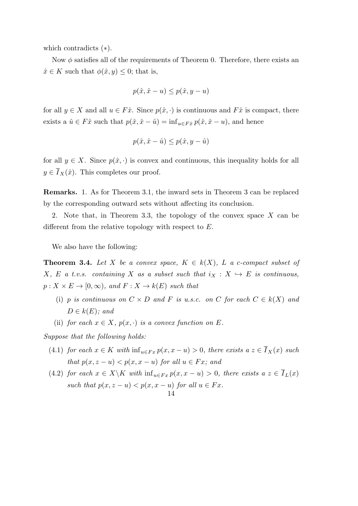which contradicts (*∗*).

Now φ satisfies all of the requirements of Theorem 0. Therefore, there exists an  $\hat{x} \in K$  such that  $\phi(\hat{x}, y) \leq 0$ ; that is,

$$
p(\hat{x}, \hat{x} - u) \le p(\hat{x}, y - u)
$$

for all  $y \in X$  and all  $u \in F\hat{x}$ . Since  $p(\hat{x}, \cdot)$  is continuous and  $F\hat{x}$  is compact, there exists a  $\hat{u} \in F\hat{x}$  such that  $p(\hat{x}, \hat{x} - \hat{u}) = \inf_{u \in F\hat{x}} p(\hat{x}, \hat{x} - u)$ , and hence

$$
p(\hat{x}, \hat{x} - \hat{u}) \le p(\hat{x}, y - \hat{u})
$$

for all  $y \in X$ . Since  $p(\hat{x}, \cdot)$  is convex and continuous, this inequality holds for all  $y \in I_X(\hat{x})$ . This completes our proof.

**Remarks.** 1. As for Theorem 3.1, the inward sets in Theorem 3 can be replaced by the corresponding outward sets without affecting its conclusion.

2. Note that, in Theorem 3.3, the topology of the convex space *X* can be different from the relative topology with respect to *E*.

We also have the following:

**Theorem 3.4.** Let *X* be a convex space,  $K \in k(X)$ , *L* a *c*-compact subset of *X*, *E a t.v.s.* containing *X* as a subset such that  $i_X : X \hookrightarrow E$  is continuous,  $p: X \times E \to [0, \infty)$ *, and*  $F: X \to k(E)$  *such that* 

- (i) *p is continuous on*  $C \times D$  *and*  $F$  *is u.s.c. on*  $C$  *for each*  $C \in k(X)$  *and*  $D \in k(E)$ *;* and
- (ii) *for each*  $x \in X$ *,*  $p(x, \cdot)$  *is a convex function on*  $E$ *.*

*Suppose that the following holds:*

- (4.1) *for each*  $x \in K$  *with*  $\inf_{u \in F} x p(x, x u) > 0$ *, there exists a*  $z \in \overline{I}_X(x)$  *such that*  $p(x, z - u) < p(x, x - u)$  *for all*  $u \in Fx$ *; and*
- (4.2) for each  $x \in X \backslash K$  with  $\inf_{u \in F_x} p(x, x u) > 0$ , there exists  $a z \in \overline{I}_L(x)$ *such that*  $p(x, z - u) < p(x, x - u)$  *for all*  $u \in Fx$ *.*

14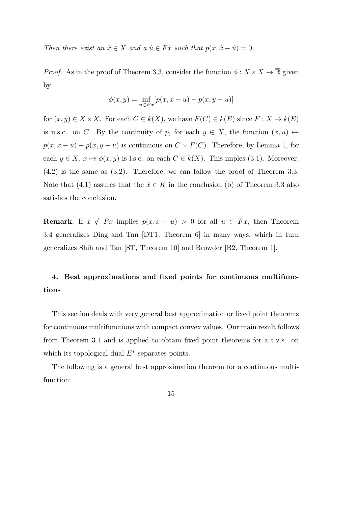*Then there exist an*  $\hat{x} \in X$  *and a*  $\hat{u} \in F\hat{x}$  *such that*  $p(\hat{x}, \hat{x} - \hat{u}) = 0$ .

*Proof.* As in the proof of Theorem 3.3, consider the function  $\phi: X \times X \to \mathbb{R}$  given by

$$
\phi(x, y) = \inf_{u \in F_x} [p(x, x - u) - p(x, y - u)]
$$

for  $(x, y) \in X \times X$ . For each  $C \in k(X)$ , we have  $F(C) \in k(E)$  since  $F: X \to k(E)$ is u.s.c. on *C*. By the continuity of *p*, for each  $y \in X$ , the function  $(x, u) \mapsto$  $p(x, x - u) - p(x, y - u)$  is continuous on  $C \times F(C)$ . Therefore, by Lemma 1, for each  $y \in X$ ,  $x \mapsto \phi(x, y)$  is l.s.c. on each  $C \in k(X)$ . This imples (3.1). Moreover, (4.2) is the same as (3.2). Therefore, we can follow the proof of Theorem 3.3. Note that (4.1) assures that the  $\hat{x} \in K$  in the conclusion (b) of Theorem 3.3 also satisfies the conclusion.

**Remark.** If  $x \notin Fx$  implies  $p(x, x - u) > 0$  for all  $u \in Fx$ , then Theorem 3.4 generalizes Ding and Tan [DT1, Theorem 6] in many ways, which in turn generalizes Shih and Tan [ST, Theorem 10] and Browder [B2, Theorem 1].

## **4. Best approximations and fixed points for continuous multifunctions**

This section deals with very general best approximation or fixed point theorems for continuous multifunctions with compact convex values. Our main result follows from Theorem 3.1 and is applied to obtain fixed point theorems for a t.v.s. on which its topological dual *E<sup>∗</sup>* separates points.

The following is a general best approximation theorem for a continuous multifunction:

15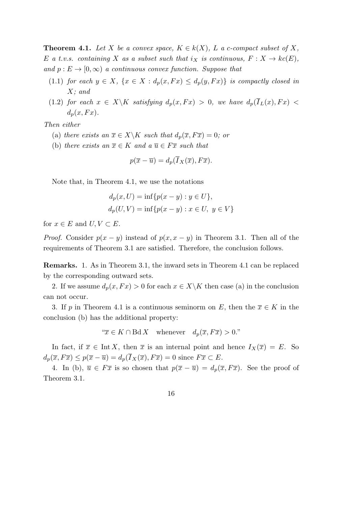**Theorem 4.1.** Let *X* be a convex space,  $K \in k(X)$ , L a c-compact subset of X, *E a t.v.s.* containing *X* as a subset such that  $i_X$  is continuous,  $F: X \to kc(E)$ , *and*  $p: E \to [0, \infty)$  *a continuous convex function. Suppose that* 

- (1.1) *for each*  $y \in X$ ,  $\{x \in X : d_p(x, Fx) \leq d_p(y, Fx)\}$  *is compactly closed in X; and*
- (1.2) *for each*  $x \in X \backslash K$  *satisfying*  $d_p(x, Fx) > 0$ *, we have*  $d_p(\overline{I}_L(x), Fx) <$  $d_p(x, F_x)$ .

*Then either*

- (a) *there exists an*  $\overline{x} \in X \backslash K$  *such that*  $d_p(\overline{x}, F\overline{x}) = 0$ *; or*
- (b) *there exists an*  $\overline{x} \in K$  *and a*  $\overline{u} \in F\overline{x}$  *such that*

$$
p(\overline{x}-\overline{u})=d_p(\overline{I}_X(\overline{x}),F\overline{x}).
$$

Note that, in Theorem 4.1, we use the notations

$$
d_p(x, U) = \inf \{ p(x - y) : y \in U \},
$$
  

$$
d_p(U, V) = \inf \{ p(x - y) : x \in U, y \in V \}
$$

for  $x \in E$  and  $U, V \subset E$ .

*Proof.* Consider  $p(x - y)$  instead of  $p(x, x - y)$  in Theorem 3.1. Then all of the requirements of Theorem 3.1 are satisfied. Therefore, the conclusion follows.

**Remarks.** 1. As in Theorem 3.1, the inward sets in Theorem 4.1 can be replaced by the corresponding outward sets.

2. If we assume  $d_p(x, F_x) > 0$  for each  $x \in X \backslash K$  then case (a) in the conclusion can not occur.

3. If *p* in Theorem 4.1 is a continuous seminorm on *E*, then the  $\overline{x} \in K$  in the conclusion (b) has the additional property:

" $\overline{x}$  ∈ *K* ∩ Bd *X* whenever  $d_p(\overline{x}, F\overline{x}) > 0$ ."

In fact, if  $\overline{x} \in \text{Int } X$ , then  $\overline{x}$  is an internal point and hence  $I_X(\overline{x}) = E$ . So  $d_p(\overline{x}, F\overline{x}) \leq p(\overline{x} - \overline{u}) = d_p(\overline{I}_X(\overline{x}), F\overline{x}) = 0$  since  $F\overline{x} \subset E$ .

4. In (b),  $\overline{u} \in F\overline{x}$  is so chosen that  $p(\overline{x} - \overline{u}) = d_p(\overline{x}, F\overline{x})$ . See the proof of Theorem 3.1.

16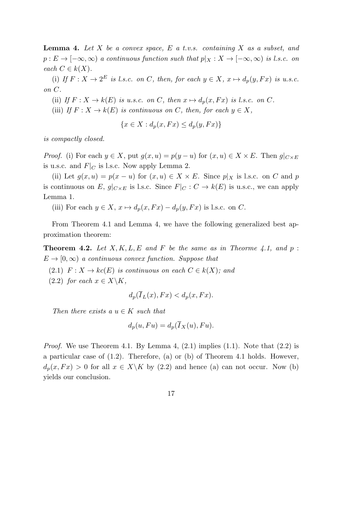**Lemma 4.** *Let X be a convex space, E a t.v.s. containing X as a subset, and*  $p: E \to [-\infty, \infty)$  *a continuous function such that*  $p|_X: X \to [-\infty, \infty)$  *is l.s.c. on*  $\operatorname{each} C \in k(X)$ .

(i) If  $F: X \to 2^E$  is l.s.c. on C, then, for each  $y \in X$ ,  $x \mapsto d_p(y, Fx)$  is u.s.c. *on C.*

(ii) *If*  $F: X \to k(E)$  *is u.s.c. on C, then*  $x \mapsto d_p(x, Fx)$  *is l.s.c. on C.* 

(iii) *If*  $F: X \to k(E)$  *is continuous on C, then, for each*  $y \in X$ *,* 

$$
\{x \in X : d_p(x, Fx) \le d_p(y, Fx)\}
$$

*is compactly closed.*

*Proof.* (i) For each  $y \in X$ , put  $g(x, u) = p(y - u)$  for  $(x, u) \in X \times E$ . Then  $g|_{C \times E}$ is u.s.c. and  $F|_C$  is l.s.c. Now apply Lemma 2.

(ii) Let  $g(x, u) = p(x - u)$  for  $(x, u) \in X \times E$ . Since  $p|_X$  is l.s.c. on *C* and *p* is continuous on *E*,  $g|_{C \times E}$  is l.s.c. Since  $F|_{C} : C \to k(E)$  is u.s.c., we can apply Lemma 1.

(iii) For each  $y \in X$ ,  $x \mapsto d_p(x, Fx) - d_p(y, Fx)$  is l.s.c. on *C*.

From Theorem 4.1 and Lemma 4, we have the following generalized best approximation theorem:

**Theorem 4.2.** Let  $X, K, L, E$  and  $F$  be the same as in Theorme 4.1, and  $p$ :  $E \rightarrow [0, \infty)$  *a continuous convex function. Suppose that* 

(2.1)  $F: X \to kc(E)$  *is continuous on each*  $C \in k(X)$ *; and*  $(2.2)$  *for each*  $x \in X \backslash K$ ,

$$
d_p(\overline{I}_L(x), Fx) < d_p(x, Fx).
$$

*Then there exists a*  $u \in K$  *such that* 

$$
d_p(u, Fu) = d_p(\overline{I}_X(u), Fu).
$$

*Proof.* We use Theorem 4.1. By Lemma 4,  $(2.1)$  implies  $(1.1)$ . Note that  $(2.2)$  is a particular case of (1.2). Therefore, (a) or (b) of Theorem 4.1 holds. However,  $d_p(x, F_x) > 0$  for all  $x \in X \backslash K$  by (2.2) and hence (a) can not occur. Now (b) yields our conclusion.

17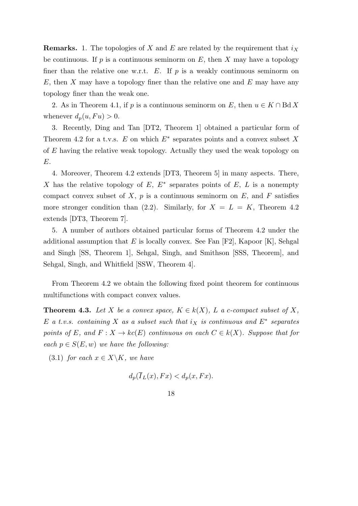**Remarks.** 1. The topologies of *X* and *E* are related by the requirement that *i<sup>X</sup>* be continuous. If  $p$  is a continuous seminorm on  $E$ , then  $X$  may have a topology finer than the relative one w.r.t.  $E$ . If  $p$  is a weakly continuous seminorm on *E*, then *X* may have a topology finer than the relative one and *E* may have any topology finer than the weak one.

2. As in Theorem 4.1, if *p* is a continuous seminorm on *E*, then  $u \in K \cap \text{Bd } X$ whenever  $d_p(u, Fu) > 0$ .

3. Recently, Ding and Tan [DT2, Theorem 1] obtained a particular form of Theorem 4.2 for a t.v.s. *E* on which *E<sup>∗</sup>* separates points and a convex subset *X* of *E* having the relative weak topology. Actually they used the weak topology on *E*.

4. Moreover, Theorem 4.2 extends [DT3, Theorem 5] in many aspects. There, *X* has the relative topology of *E*, *E<sup>∗</sup>* separates points of *E*, *L* is a nonempty compact convex subset of  $X$ ,  $p$  is a continuous seminorm on  $E$ , and  $F$  satisfies more stronger condition than  $(2.2)$ . Similarly, for  $X = L = K$ , Theorem 4.2 extends [DT3, Theorem 7].

5. A number of authors obtained particular forms of Theorem 4.2 under the additional assumption that *E* is locally convex. See Fan [F2], Kapoor [K], Sehgal and Singh [SS, Theorem 1], Sehgal, Singh, and Smithson [SSS, Theorem], and Sehgal, Singh, and Whitfield [SSW, Theorem 4].

From Theorem 4.2 we obtain the following fixed point theorem for continuous multifunctions with compact convex values.

**Theorem 4.3.** Let *X* be a convex space,  $K \in k(X)$ , *L* a *c*-compact subset of *X*, *E a t.v.s. containing X as a subset such that i<sup>X</sup> is continuous and E<sup>∗</sup> separates points of*  $E$ *, and*  $F: X \to kc(E)$  *continuous on each*  $C \in k(X)$ *. Suppose that for each*  $p \in S(E, w)$  *we have the following:* 

(3.1) *for each*  $x \in X \backslash K$ *, we have* 

$$
d_p(\overline{I}_L(x), Fx) < d_p(x, Fx).
$$

18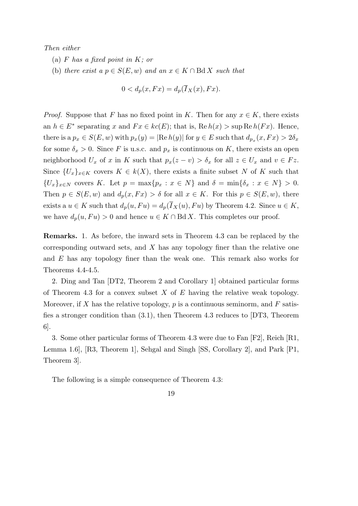*Then either*

- (a) *F has a fixed point in K; or*
- (b) *there exist a*  $p \in S(E, w)$  *and an*  $x \in K \cap B\{dX\}$  *such that*

$$
0 < d_p(x, Fx) = d_p(\overline{I}_X(x), Fx).
$$

*Proof.* Suppose that *F* has no fixed point in *K*. Then for any  $x \in K$ , there exists an  $h \in E^*$  separating *x* and  $Fx \in kc(E)$ ; that is,  $\text{Re } h(x) > \sup \text{Re } h(Fx)$ . Hence, there is a  $p_x \in S(E, w)$  with  $p_x(y) = |\text{Re } h(y)|$  for  $y \in E$  such that  $d_{p_x}(x, F_x) > 2\delta_x$ for some  $\delta_x > 0$ . Since *F* is u.s.c. and  $p_x$  is continuous on *K*, there exists an open neighborhood  $U_x$  of *x* in *K* such that  $p_x(z - v) > \delta_x$  for all  $z \in U_x$  and  $v \in Fz$ . Since  ${U_x}_{x \in K}$  covers  $K \in k(X)$ , there exists a finite subset *N* of *K* such that  $\{U_x\}_{x\in N}$  covers K. Let  $p = \max\{p_x : x \in N\}$  and  $\delta = \min\{\delta_x : x \in N\} > 0$ . Then  $p \in S(E, w)$  and  $d_p(x, F_x) > \delta$  for all  $x \in K$ . For this  $p \in S(E, w)$ , there exists a  $u \in K$  such that  $d_p(u, Fu) = d_p(\overline{I}_X(u), Fu)$  by Theorem 4.2. Since  $u \in K$ , we have  $d_p(u, Fu) > 0$  and hence  $u \in K \cap \text{Bd } X$ . This completes our proof.

**Remarks.** 1. As before, the inward sets in Theorem 4.3 can be replaced by the corresponding outward sets, and *X* has any topology finer than the relative one and *E* has any topology finer than the weak one. This remark also works for Theorems 4.4-4.5.

2. Ding and Tan [DT2, Theorem 2 and Corollary 1] obtained particular forms of Theorem 4.3 for a convex subset *X* of *E* having the relative weak topology. Moreover, if *X* has the relative topology, *p* is a continuous seminorm, and *F* satisfies a stronger condition than (3.1), then Theorem 4.3 reduces to [DT3, Theorem 6].

3. Some other particular forms of Theorem 4.3 were due to Fan [F2], Reich [R1, Lemma 1.6], [R3, Theorem 1], Sehgal and Singh [SS, Corollary 2], and Park [P1, Theorem 3].

The following is a simple consequence of Theorem 4.3:

19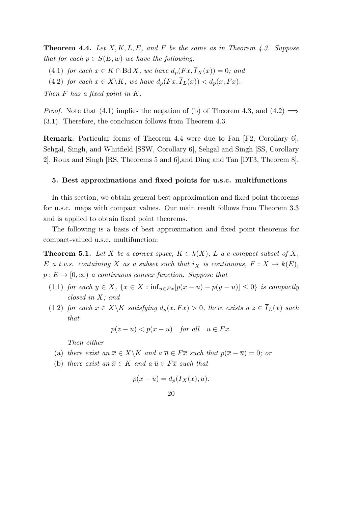**Theorem 4.4.** *Let X, K, L, E, and F be the same as in Theorem 4.3. Suppose that for each*  $p \in S(E, w)$  *we have the following:* 

- (4.1) *for each*  $x \in K \cap \text{Bd } X$ *, we have*  $d_p(Fx, \overline{I}_X(x)) = 0$ *; and*
- (4.2) *for each*  $x \in X \backslash K$ *, we have*  $d_p(Fx, \overline{I}_L(x)) < d_p(x, Fx)$ *.*

*Then F has a fixed point in K.*

*Proof.* Note that (4.1) implies the negation of (b) of Theorem 4.3, and (4.2)  $\implies$ (3.1). Therefore, the conclusion follows from Theorem 4.3.

**Remark.** Particular forms of Theorem 4.4 were due to Fan [F2, Corollary 6], Sehgal, Singh, and Whitfield [SSW, Corollary 6], Sehgal and Singh [SS, Corollary 2], Roux and Singh [RS, Theorems 5 and 6],and Ding and Tan [DT3, Theorem 8].

#### **5. Best approximations and fixed points for u.s.c. multifunctions**

In this section, we obtain general best approximation and fixed point theorems for u.s.c. maps with compact values. Our main result follows from Theorem 3.3 and is applied to obtain fixed point theorems.

The following is a basis of best approximation and fixed point theorems for compact-valued u.s.c. multifunction:

**Theorem 5.1.** *Let*  $X$  *be a convex space,*  $K \in k(X)$ *,*  $L$  *a c-compact subset of*  $X$ *, E a t.v.s.* containing *X* as a subset such that  $i_X$  is continuous,  $F: X \to k(E)$ ,  $p: E \to [0, \infty)$  *a continuous convex function. Suppose that* 

- (1.1) for each  $y \in X$ ,  $\{x \in X : inf_{u \in F_x}[p(x-u)-p(y-u)] \leq 0\}$  is compactly *closed in X; and*
- (1.2) *for each*  $x \in X \backslash K$  *satisfying*  $d_p(x, Fx) > 0$ *, there exists*  $a \ z \in \overline{I}_L(x)$  *such that*

$$
p(z - u) < p(x - u) \quad \text{for all} \quad u \in Fx.
$$

*Then either*

- (a) *there exist an*  $\overline{x} \in X \backslash K$  *and a*  $\overline{u} \in F\overline{x}$  *such that*  $p(\overline{x} \overline{u}) = 0$ *; or*
- (b) *there exist an*  $\overline{x} \in K$  *and a*  $\overline{u} \in F\overline{x}$  *such that*

$$
p(\overline{x}-\overline{u})=d_p(\overline{I}_X(\overline{x}),\overline{u}).
$$

20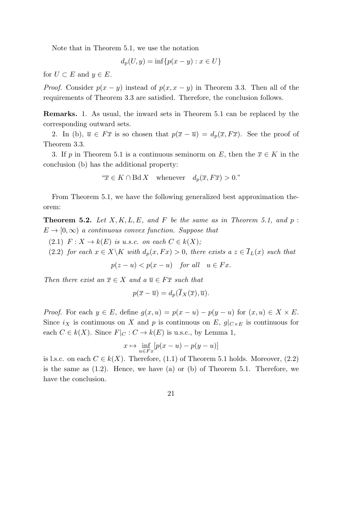Note that in Theorem 5.1, we use the notation

$$
d_p(U, y) = \inf\{p(x - y) : x \in U\}
$$

for  $U \subset E$  and  $y \in E$ .

*Proof.* Consider  $p(x - y)$  instead of  $p(x, x - y)$  in Theorem 3.3. Then all of the requirements of Theorem 3.3 are satisfied. Therefore, the conclusion follows.

**Remarks.** 1. As usual, the inward sets in Theorem 5.1 can be replaced by the corresponding outward sets.

2. In (b),  $\overline{u} \in F\overline{x}$  is so chosen that  $p(\overline{x} - \overline{u}) = d_p(\overline{x}, F\overline{x})$ . See the proof of Theorem 3.3.

3. If *p* in Theorem 5.1 is a continuous seminorm on *E*, then the  $\overline{x} \in K$  in the conclusion (b) has the additional property:

"
$$
\overline{x} \in K \cap \text{Bd } X
$$
 whenever  $d_p(\overline{x}, F\overline{x}) > 0.$ "

From Theorem 5.1, we have the following generalized best approximation theorem:

**Theorem 5.2.** Let  $X, K, L, E$ , and  $F$  be the same as in Theorem 5.1, and  $p$ :  $E \rightarrow [0, \infty)$  *a continuous convex function. Suppose that* 

 $P: X \to k(E)$  *is u.s.c. on each*  $C \in k(X)$ ;

(2.2) *for each*  $x \in X \backslash K$  *with*  $d_p(x, Fx) > 0$ *, there exists*  $a \ z \in \overline{I}_L(x)$  *such that* 

$$
p(z - u) < p(x - u) \quad \text{for all} \quad u \in Fx.
$$

*Then there exist an*  $\overline{x} \in X$  *and a*  $\overline{u} \in F\overline{x}$  *such that* 

$$
p(\overline{x}-\overline{u})=d_p(\overline{I}_X(\overline{x}),\overline{u}).
$$

*Proof.* For each  $y \in E$ , define  $g(x, u) = p(x - u) - p(y - u)$  for  $(x, u) \in X \times E$ . Since  $i_X$  is continuous on *X* and *p* is continuous on *E*,  $g|_{C \times E}$  is continuous for each  $C \in k(X)$ . Since  $F|_{C}: C \to k(E)$  is u.s.c., by Lemma 1,

$$
x \mapsto \inf_{u \in Fx} [p(x - u) - p(y - u)]
$$

is l.s.c. on each  $C \in k(X)$ . Therefore, (1.1) of Theorem 5.1 holds. Moreover, (2.2) is the same as (1.2). Hence, we have (a) or (b) of Theorem 5.1. Therefore, we have the conclusion.

21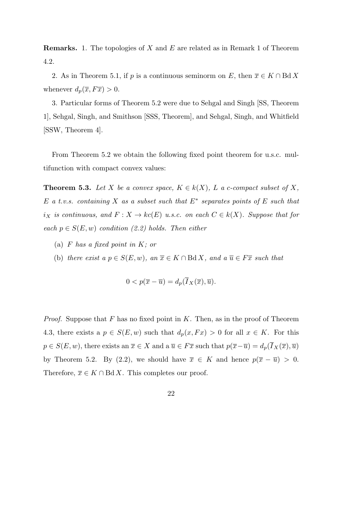**Remarks.** 1. The topologies of *X* and *E* are related as in Remark 1 of Theorem 4.2.

2. As in Theorem 5.1, if *p* is a continuous seminorm on *E*, then  $\overline{x} \in K \cap B \d X$ whenever  $d_p(\overline{x}, F\overline{x}) > 0$ .

3. Particular forms of Theorem 5.2 were due to Sehgal and Singh [SS, Theorem 1], Sehgal, Singh, and Smithson [SSS, Theorem], and Sehgal, Singh, and Whitfield [SSW, Theorem 4].

From Theorem 5.2 we obtain the following fixed point theorem for u.s.c. multifunction with compact convex values:

**Theorem 5.3.** Let *X* be a convex space,  $K \in k(X)$ , *L* a *c*-compact subset of *X*, *E a t.v.s. containing X as a subset such that E<sup>∗</sup> separates points of E such that*  $i_X$  *is continuous, and*  $F: X \to kc(E)$  *u.s.c. on each*  $C \in k(X)$ *. Suppose that for each*  $p \in S(E, w)$  *condition (2.2) holds. Then either* 

- (a) *F has a fixed point in K; or*
- (b) *there exist a*  $p \in S(E, w)$ *, an*  $\overline{x} \in K \cap B \cdot dX$ *, and a*  $\overline{u} \in F \overline{x}$  *such that*

$$
0 < p(\overline{x} - \overline{u}) = d_p(\overline{I}_X(\overline{x}), \overline{u}).
$$

*Proof.* Suppose that *F* has no fixed point in *K*. Then, as in the proof of Theorem 4.3, there exists a  $p \in S(E, w)$  such that  $d_p(x, Fx) > 0$  for all  $x \in K$ . For this  $p \in S(E, w)$ , there exists an  $\overline{x} \in X$  and a  $\overline{u} \in F\overline{x}$  such that  $p(\overline{x} - \overline{u}) = d_p(\overline{I}_X(\overline{x}), \overline{u})$ by Theorem 5.2. By (2.2), we should have  $\bar{x} \in K$  and hence  $p(\bar{x} - \bar{u}) > 0$ . Therefore,  $\overline{x} \in K \cap B \, \mathrm{d} X$ . This completes our proof.

22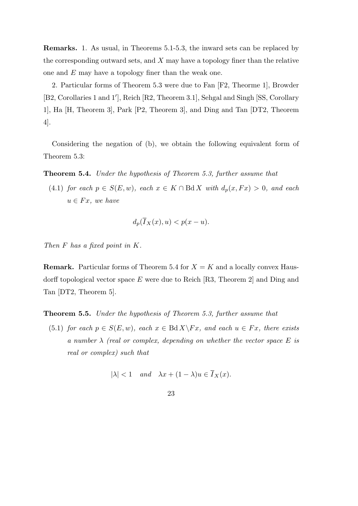**Remarks.** 1. As usual, in Theorems 5.1-5.3, the inward sets can be replaced by the corresponding outward sets, and *X* may have a topology finer than the relative one and *E* may have a topology finer than the weak one.

2. Particular forms of Theorem 5.3 were due to Fan [F2, Theorme 1], Browder [B2, Corollaries 1 and 1*′* ], Reich [R2, Theorem 3.1], Sehgal and Singh [SS, Corollary 1], Ha [H, Theorem 3], Park [P2, Theorem 3], and Ding and Tan [DT2, Theorem 4].

Considering the negation of (b), we obtain the following equivalent form of Theorem 5.3:

**Theorem 5.4.** *Under the hypothesis of Theorem 5.3, further assume that*

(4.1) *for each*  $p \in S(E, w)$ *, each*  $x \in K \cap B\{dX \text{ with } d_p(x, Fx) > 0$ *, and each*  $u \in Fx$ *, we have* 

$$
d_p(\overline{I}_X(x),u)< p(x-u).
$$

*Then F has a fixed point in K.*

**Remark.** Particular forms of Theorem 5.4 for  $X = K$  and a locally convex Hausdorff topological vector space *E* were due to Reich [R3, Theorem 2] and Ding and Tan [DT2, Theorem 5].

**Theorem 5.5.** *Under the hypothesis of Theorem 5.3, further assume that*

(5.1) *for each*  $p \in S(E, w)$ *, each*  $x \in \text{Bd } X \backslash F x$ *, and each*  $u \in F x$ *, there exists a number λ (real or complex, depending on whether the vector space E is real or complex) such that*

$$
|\lambda| < 1 \quad \text{and} \quad \lambda x + (1 - \lambda)u \in \overline{I}_X(x).
$$

$$
23\quad
$$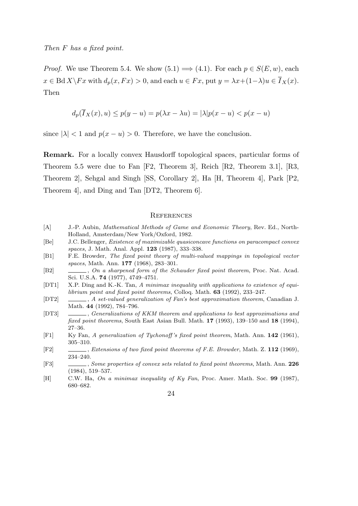*Proof.* We use Theorem 5.4. We show  $(5.1) \implies (4.1)$ . For each  $p \in S(E, w)$ , each  $x \in \text{Bd } X \backslash Fx$  with  $d_p(x, Fx) > 0$ , and each  $u \in Fx$ , put  $y = \lambda x + (1 - \lambda)u \in \overline{I}_X(x)$ . Then

$$
d_p(\overline{I}_X(x),u) \le p(y-u) = p(\lambda x - \lambda u) = |\lambda|p(x-u) < p(x-u)
$$

since  $|\lambda| < 1$  and  $p(x - u) > 0$ . Therefore, we have the conclusion.

**Remark.** For a locally convex Hausdorff topological spaces, particular forms of Theorem 5.5 were due to Fan [F2, Theorem 3], Reich [R2, Theorem 3.1], [R3, Theorem 2], Sehgal and Singh [SS, Corollary 2], Ha [H, Theorem 4], Park [P2, Theorem 4], and Ding and Tan [DT2, Theorem 6].

#### **REFERENCES**

- [A] J.-P. Aubin, *Mathematical Methods of Game and Economic Theory*, Rev. Ed., North-Holland, Amsterdam/New York/Oxford, 1982.
- [Be] J.C. Bellenger, *Existence of maximizable quasiconcave functions on paracompact convex spaces*, J. Math. Anal. Appl. **123** (1987), 333–338.
- [B1] F.E. Browder, *The fixed point theory of multi-valued mappings in topological vector spaces*, Math. Ann. **177** (1968), 283–301.
- [B2] , *On a sharpened form of the Schauder fixed point theorem*, Proc. Nat. Acad. Sci. U.S.A. **74** (1977), 4749–4751.
- [DT1] X.P. Ding and K.-K. Tan, *A minimax inequality with applications to existence of equilibrium point and fixed point theorems*, Colloq. Math. **63** (1992), 233–247.
- [DT2] , *A set-valued generalization of Fan's best approximation theorem*, Canadian J. Math. **44** (1992), 784–796.
- [DT3] , *Generalizations of KKM theorem and applications to best approximations and fixed point theorems*, South East Asian Bull. Math. **17** (1993), 139–150 and **18** (1994), 27–36.
- [F1] Ky Fan, *A generalization of Tychonoff 's fixed point theorem*, Math. Ann. **142** (1961), 305–310.
- [F2] , *Extensions of two fixed point theorems of F.E. Browder*, Math. Z. **112** (1969), 234–240.
- [F3] , *Some properties of convex sets related to fixed point theorems*, Math. Ann. **226** (1984), 519–537.
- [H] C.W. Ha, *On a minimax inequality of Ky Fan*, Proc. Amer. Math. Soc. **99** (1987), 680–682.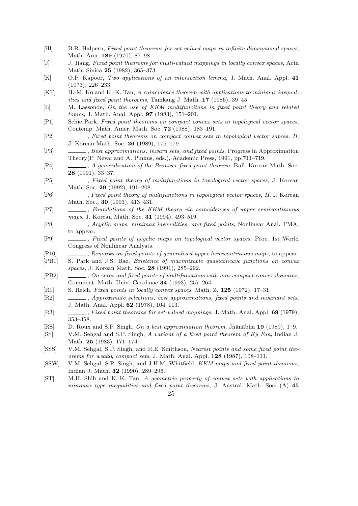- [Hl] B.R. Halpern, *Fixed point theorems for set-valued maps in infinite dimensional spaces*, Math. Ann. **189** (1970), 87–98.
- [J] J. Jiang, *Fixed point theorems for multi-valued mappings in locally convex spaces*, Acta Math. Sinica **25** (1982), 365–373.
- [K] O.P. Kapoor, *Two applications of an intersection lemma*, J. Math. Anal. Appl. **41** (1973), 226–233.
- [KT] H.-M. Ko and K.-K. Tan, *A coincidence theorem with applications to minimax inequalities and fixed point theroems*, Tamkang J. Math. **17** (1986), 39–45.
- [L] M. Lassonde, *On the use of KKM multifuncitons in fixed point theory and related topics*, J. Math. Anal. Appl. **97** (1983), 151–201.
- [P1] Sehie Park, *Fixed point theorems on compact convex sets in topological vector spaces*, Contemp. Math. Amer. Math. Soc. **72** (1988), 183–191.
- [P2] , *Fixed point theorems on compact convex sets in topological vector sapces, II*, J. Korean Math. Soc. **26** (1989), 175–179.
- [P3] , *Best approximations, inward sets, and fixed points*, Progress in Approximation Theory(P. Nevai and A. Pinkus, eds.), Academic Press, 1991, pp.711–719.
- [P4] , *A generalization of the Brouwer fixed point theorem*, Bull. Korean Math. Soc. **28** (1991), 33–37.
- [P5] , *Fixed point theory of multifunctions in topological vector spaces*, J. Korean Math. Soc. **29** (1992), 191–208.
- [P6] , *Fixed point theory of multifunctions in topological vector spaces, II*, J. Korean Math. Soc., **30** (1993), 413–431.
- [P7] , *Foundations of the KKM theory via coincidences of upper semicontinuous maps*, J. Korean Math. Soc. **31** (1994), 493–519.
- [P8] , *Acyclic maps, minimax inequalities, and fixed points*, Nonlinear Anal. TMA, to appear.
- [P9] , *Fixed points of acyclic maps on topological vector spaces*, Proc. 1st World Congress of Nonlinear Analysts.
- [P10] , *Remarks on fixed points of generalized upper hemicontinuous maps*, to appear.
- [PB1] S. Park and J.S. Bae, *Existence of maximizable quasiconcave functions on convex spaces*, J. Korean Math. Soc. **28** (1991), 285–292.
- [PB2] , *On zeros and fixed points of multifunctions with non-compact convex domains*, Comment. Math. Univ. Carolinae **34** (1993), 257–264.
- [R1] S. Reich, *Fixed points in locally convex spaces*, Math. Z. **125** (1972), 17–31.
- [R2] , *Approximate selections, best approximations, fixed points and invariant sets*, J. Math. Anal. Appl. **62** (1978), 104–113.
- [R3] , *Fixed point theorems for set-valued mappings*, J. Math. Anal. Appl. **69** (1979), 353–358.
- [RS] D. Roux and S.P. Singh, *On a best approximation theorem*, Jñanābha 19 (1989), 1–9.
- [SS] V.M. Sehgal and S.P. Singh, *A variant of a fixed point theorem of Ky Fan*, Indian J. Math. **25** (1983), 171–174.
- [SSS] V.M. Sehgal, S.P. Singh, and R.E. Smithson, *Nearest points and some fixed point theorems for weakly compact sets*, J. Math. Anal. Appl. **128** (1987), 108–111.
- [SSW] V.M. Sehgal, S.P. Singh, and J.H.M. Whitfield, *KKM-maps and fixed point theorems*, Indian J. Math. **32** (1990), 289–296.
- [ST] M.H. Shih and K.-K. Tan, *A geometric property of convex sets with applications to minimax type inequalities and fixed point theorems*, J. Austral. Math. Soc. (A) **45**
	- 25